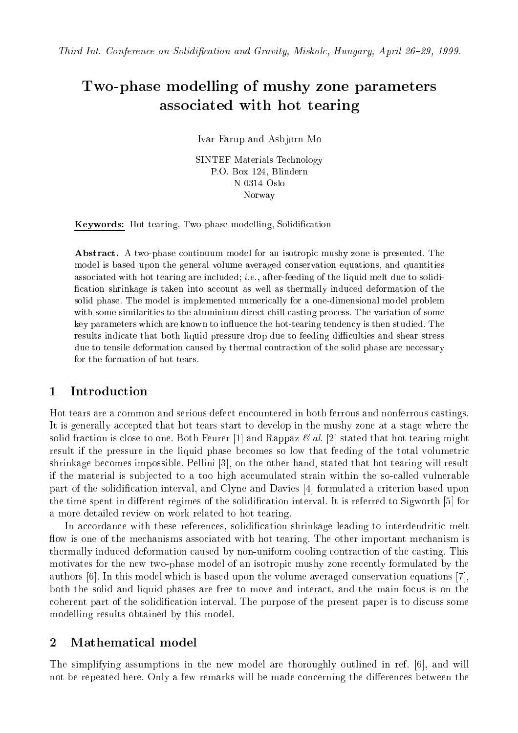# Two-phase modelling of mushy zone parameters asso
iated with hot tearing

Ivar Farup and Asbjørn Mo

SINTEF Materials Te
hnology P.O. Box 124, Blindern N-0314 Oslo Norway

Keywords: Hot tearing, Two-phase modelling, Solidification

Abstract. A two-phase continuum model for an isotropic mushy zone is presented. The model is based upon the general volume averaged onservation equations, and quantities associated with hot tearing are included; *i.e.*, after-feeding of the liquid melt due to solidification shrinkage is taken into account as well as thermally induced deformation of the solid phase. The model is implemented numerically for a one-dimensional model problem with some similarities to the aluminium direct chill casting process. The variation of some key parameters which are known to influence the hot-tearing tendency is then studied. The results indicate that both liquid pressure drop due to feeding difficulties and shear stress due to tensile deformation caused by thermal contraction of the solid phase are necessary for the formation of hot tears.

## 1 Introduction

Hot tears are a ommon and serious defe
t en
ountered in both ferrous and nonferrous astings. It is generally accepted that hot tears start to develop in the mushy zone at a stage where the solid fraction is close to one. Both Feurer [1] and Rappaz  $\mathcal{B}$  al. [2] stated that hot tearing might result if the pressure in the liquid phase be
omes so low that feeding of the total volumetri shrinkage becomes impossible. Pellini [3], on the other hand, stated that hot tearing will result if the material is subjected to a too high accumulated strain within the so-called vulnerable part of the solidification interval, and Clyne and Davies [4] formulated a criterion based upon the time spent in different regimes of the solidification interval. It is referred to Sigworth  $[5]$  for a more detailed review on work related to hot tearing.

In accordance with these references, solidification shrinkage leading to interdendritic melt flow is one of the mechanisms associated with hot tearing. The other important mechanism is thermally indu
ed deformation aused by non-uniform ooling ontra
tion of the asting. This motivates for the new two-phase model of an isotropi mushy zone re
ently formulated by the authors  $[6]$ . In this model which is based upon the volume averaged conservation equations  $[7]$ . both the solid and liquid phases are free to move and interact, and the main focus is on the coherent part of the solidification interval. The purpose of the present paper is to discuss some modelling results obtained by this model.

### 2 Mathemati
al model

The simplifying assumptions in the new model are thoroughly outlined in ref. [6], and will not be repeated here. Only a few remarks will be made concerning the differences between the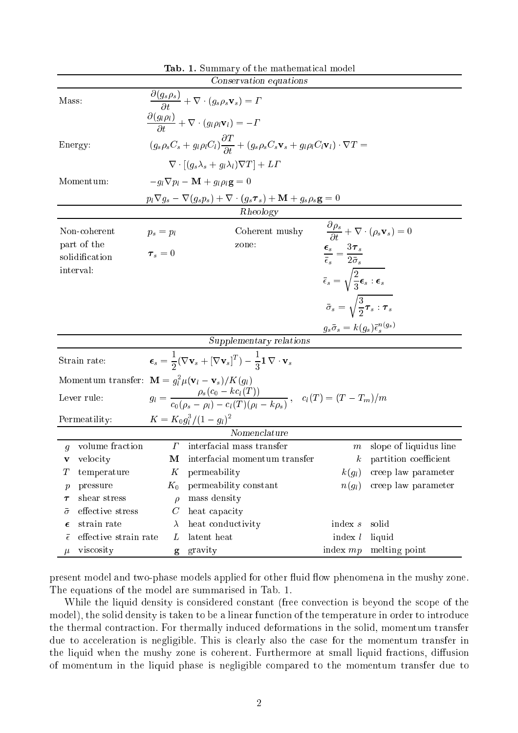|                                                |                       |                                                                                                                                                  | Conservation equations                                                                        |                                                                         |                                                                               |  |
|------------------------------------------------|-----------------------|--------------------------------------------------------------------------------------------------------------------------------------------------|-----------------------------------------------------------------------------------------------|-------------------------------------------------------------------------|-------------------------------------------------------------------------------|--|
| Mass:                                          |                       |                                                                                                                                                  | $\frac{\partial (g_s \rho_s)}{\partial t} + \nabla \cdot (g_s \rho_s \mathbf{v}_s) = \Gamma$  |                                                                         |                                                                               |  |
|                                                |                       |                                                                                                                                                  | $\frac{\partial (g_l \rho_l)}{\partial t} + \nabla \cdot (g_l \rho_l \mathbf{v}_l) = -\Gamma$ |                                                                         |                                                                               |  |
| Energy:                                        |                       | $(g_s \rho_s C_s + g_l \rho_l C_l) \frac{\partial T}{\partial t} + (g_s \rho_s C_s \mathbf{v}_s + g_l \rho_l C_l \mathbf{v}_l) \cdot \nabla T =$ |                                                                                               |                                                                         |                                                                               |  |
|                                                |                       | $\nabla \cdot [(q_s \lambda_s + q_l \lambda_l) \nabla T] + L\Gamma$                                                                              |                                                                                               |                                                                         |                                                                               |  |
| Momentum:                                      |                       | $-q_l \nabla p_l - \mathbf{M} + q_l \rho_l \mathbf{g} = 0$                                                                                       |                                                                                               |                                                                         |                                                                               |  |
|                                                |                       | $p_l \nabla g_s - \nabla (g_s p_s) + \nabla \cdot (g_s \boldsymbol{\tau}_s) + \mathbf{M} + g_s \rho_s \mathbf{g} = 0$                            |                                                                                               |                                                                         |                                                                               |  |
| Rheology                                       |                       |                                                                                                                                                  |                                                                                               |                                                                         |                                                                               |  |
| Non-coherent                                   |                       | $p_s = p_l$                                                                                                                                      | Coherent mushy                                                                                |                                                                         | $\frac{\partial \rho_s}{\partial t} + \nabla \cdot (\rho_s \mathbf{v}_s) = 0$ |  |
| part of the                                    |                       | $\tau_s=0$                                                                                                                                       | zone:                                                                                         | $\frac{\epsilon_s}{\bar{\epsilon}_s} = \frac{3\tau_s}{2\bar{\sigma}_s}$ |                                                                               |  |
| solidification<br>interval:                    |                       |                                                                                                                                                  |                                                                                               |                                                                         |                                                                               |  |
|                                                |                       |                                                                                                                                                  |                                                                                               | $\bar{\epsilon}_s = \sqrt{\frac{2}{3} \epsilon_s : \epsilon_s}$         |                                                                               |  |
|                                                |                       |                                                                                                                                                  |                                                                                               |                                                                         |                                                                               |  |
|                                                |                       | $\bar{\sigma}_s = \sqrt{\frac{3}{2}\tau_s}$ : $\tau_s$                                                                                           |                                                                                               |                                                                         |                                                                               |  |
|                                                |                       | $g_s\bar{\sigma}_s = k(g_s)\bar{\epsilon}_s^{n(g_s)}$                                                                                            |                                                                                               |                                                                         |                                                                               |  |
| Supplementary relations                        |                       |                                                                                                                                                  |                                                                                               |                                                                         |                                                                               |  |
| Strain rate:                                   |                       | $\boldsymbol{\epsilon}_s = \frac{1}{2}(\nabla \mathbf{v}_s + [\nabla \mathbf{v}_s]^T) - \frac{1}{2}\mathbf{1}\,\nabla \cdot \mathbf{v}_s$        |                                                                                               |                                                                         |                                                                               |  |
|                                                |                       | Momentum transfer: $\mathbf{M} = g_l^2 \mu (\mathbf{v}_l - \mathbf{v}_s)/K(g_l)$                                                                 |                                                                                               |                                                                         |                                                                               |  |
| Lever rule:                                    |                       | $g_l = \frac{\rho_s(c_0 - kc_l(T))}{c_0(\rho_s - \rho_l) - c_l(T)(\rho_l - k\rho_s)}, \quad c_l(T) = (T - T_m)/m$                                |                                                                                               |                                                                         |                                                                               |  |
| $K = K_0 g_l^3 / (1 - g_l)^2$<br>Permeatility: |                       |                                                                                                                                                  |                                                                                               |                                                                         |                                                                               |  |
|                                                |                       |                                                                                                                                                  | $\overline{Nonenclature}$                                                                     |                                                                         |                                                                               |  |
| $\overline{g}$                                 | volume fraction       | $\varGamma$                                                                                                                                      | interfacial mass transfer                                                                     | $\,m$                                                                   | slope of liquidus line                                                        |  |
| v                                              | velocity              | М                                                                                                                                                | interfacial momentum transfer                                                                 | $\boldsymbol{k}$                                                        | partition coefficient                                                         |  |
| Т                                              | temperature           | Κ                                                                                                                                                | permeability                                                                                  | $k(g_l)$                                                                | creep law parameter                                                           |  |
| р                                              | pressure              | $K_0$                                                                                                                                            | permeability constant                                                                         | $n(g_l)$                                                                | creep law parameter                                                           |  |
| $\tau$                                         | shear stress          | $\rho$                                                                                                                                           | mass density                                                                                  |                                                                         |                                                                               |  |
| $\bar{\sigma}$                                 | effective stress      | $\,C$                                                                                                                                            | heat capacity                                                                                 |                                                                         |                                                                               |  |
| $\epsilon$                                     | strain rate           | $\lambda$                                                                                                                                        | heat conductivity                                                                             | index $s$                                                               | solid                                                                         |  |
| $\bar{\epsilon}$                               | effective strain rate | L                                                                                                                                                | latent heat                                                                                   | index $l$                                                               | liquid                                                                        |  |
| $\mu$                                          | viscosity             | g                                                                                                                                                | gravity                                                                                       | index $mp$                                                              | melting point                                                                 |  |

Tab. 1. Summary of the mathemati
al model

present model and two-phase models applied for other fluid flow phenomena in the mushy zone. The equations of the model are summarised in Tab. 1.

While the liquid density is considered constant (free convection is beyond the scope of the model), the solid density is taken to be a linear function of the temperature in order to introduce the thermal contraction. For thermally induced deformations in the solid, momentum transfer due to acceleration is negligible. This is clearly also the case for the momentum transfer in the liquid when the mushy zone is coherent. Furthermore at small liquid fractions, diffusion of momentum in the liquid phase is negligible ompared to the momentum transfer due to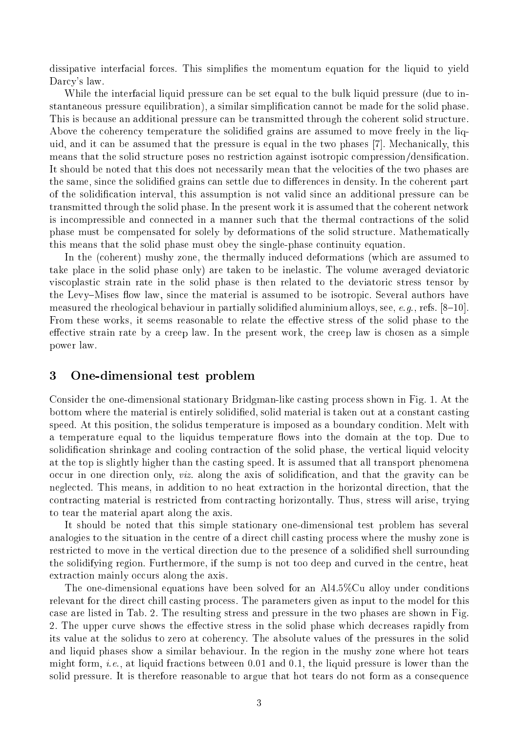dissipative interfacial forces. This simplifies the momentum equation for the liquid to yield Darcy's law.

While the interfacial liquid pressure can be set equal to the bulk liquid pressure (due to instantaneous pressure equilibration), a similar simplification cannot be made for the solid phase. This is because an additional pressure can be transmitted through the coherent solid structure. Above the coherency temperature the solidified grains are assumed to move freely in the liquid, and it can be assumed that the pressure is equal in the two phases [7]. Mechanically, this means that the solid structure poses no restriction against isotropic compression/densification. It should be noted that this does not necessarily mean that the velocities of the two phases are the same, since the solidified grains can settle due to differences in density. In the coherent part of the solidification interval, this assumption is not valid since an additional pressure can be transmitted through the solid phase. In the present work it is assumed that the oherent network is in
ompressible and onne
ted in a manner su
h that the thermal ontra
tions of the solid phase must be compensated for solely by deformations of the solid structure. Mathematically this means that the solid phase must obey the single-phase ontinuity equation.

In the (coherent) mushy zone, the thermally induced deformations (which are assumed to take pla
e in the solid phase only) are taken to be inelasti
. The volume averaged deviatori viscoplastic strain rate in the solid phase is then related to the deviatoric stress tensor by the Levy–Mises flow law, since the material is assumed to be isotropic. Several authors have measured the rheological behaviour in partially solidified aluminium alloys, see, e.g., refs.  $[8-10]$ . From these works, it seems reasonable to relate the effective stress of the solid phase to the effective strain rate by a creep law. In the present work, the creep law is chosen as a simple power law.

### 3 One-dimensional test problem

Consider the one-dimensional stationary Bridgman-like asting pro
ess shown in Fig. 1. At the bottom where the material is entirely solidified, solid material is taken out at a constant casting speed. At this position, the solidus temperature is imposed as a boundary condition. Melt with a temperature equal to the liquidus temperature flows into the domain at the top. Due to solidification shrinkage and cooling contraction of the solid phase, the vertical liquid velocity at the top is slightly higher than the asting speed. It is assumed that all transport phenomena occur in one direction only, *viz.* along the axis of solidification, and that the gravity can be neglected. This means, in addition to no heat extraction in the horizontal direction, that the ontra
ting material is restri
ted from ontra
ting horizontally. Thus, stress will arise, trying to tear the material apart along the axis.

It should be noted that this simple stationary one-dimensional test problem has several analogies to the situation in the centre of a direct chill casting process where the mushy zone is restricted to move in the vertical direction due to the presence of a solidified shell surrounding the solidifying region. Furthermore, if the sump is not too deep and urved in the entre, heat extraction mainly occurs along the axis.

The one-dimensional equations have been solved for an Al4.5%Cu alloy under conditions relevant for the direct chill casting process. The parameters given as input to the model for this ase are listed in Tab. 2. The resulting stress and pressure in the two phases are shown in Fig. 2. The upper curve shows the effective stress in the solid phase which decreases rapidly from its value at the solidus to zero at coherency. The absolute values of the pressures in the solid and liquid phases show a similar behaviour. In the region in the mushy zone where hot tears might form, *i.e.*, at liquid fractions between 0.01 and 0.1, the liquid pressure is lower than the solid pressure. It is therefore reasonable to argue that hot tears do not form as a consequence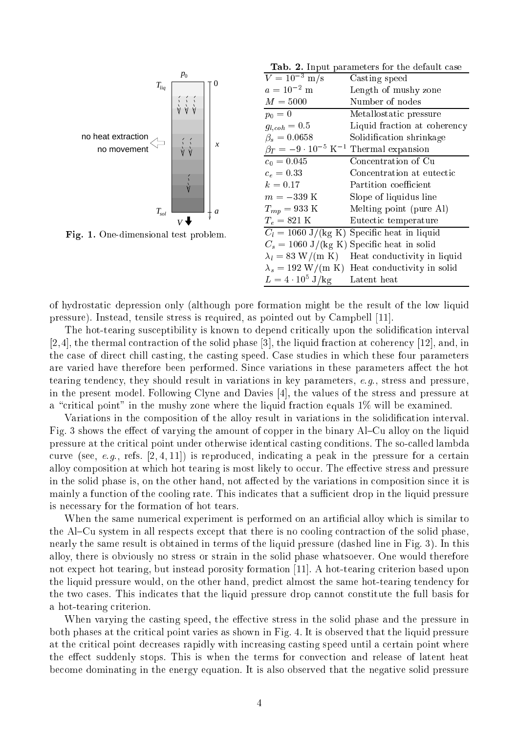

Fig. 1. One-dimensional test problem.

Tab. 2. Input parameters for the default case

| $\overline{V} = 10^{-3}$ m/s                                  | Casting speed                                        |
|---------------------------------------------------------------|------------------------------------------------------|
| $a = 10^{-2}$ m                                               | Length of mushy zone                                 |
| $M = 5000$                                                    | Number of nodes                                      |
| $p_0 = 0$                                                     | Metallostatic pressure                               |
| $g_{l,coh}=0.5$                                               | Liquid fraction at coherency                         |
| $\beta_s = 0.0658$                                            | Solidification shrinkage                             |
| $\beta_T = -9 \cdot 10^{-5} \text{ K}^{-1}$ Thermal expansion |                                                      |
| $c_0 = 0.045$                                                 | Concentration of Cu                                  |
| $c_e=0.33$                                                    | Concentration at eutectic                            |
| $k = 0.17$                                                    | Partition coefficient                                |
| $m=-339~\mathrm{K}$                                           | Slope of liquidus line                               |
| $T_{mp} = 933 \text{ K}$                                      | Melting point (pure Al)                              |
| $T_e = 821 \text{ K}$                                         | Eutectic temperature                                 |
| $C_l = 1060 \text{ J/(kg K)}$                                 | Specific heat in liquid                              |
|                                                               | $C_s = 1060 \text{ J/(kg K)}$ Specific heat in solid |
| $\lambda_l = 83$ W/(m K)                                      | Heat conductivity in liquid                          |
|                                                               | $\lambda_s = 192$ W/(m K) Heat conductivity in solid |
| $L = 4 \cdot 10^5$ J/kg                                       | Latent heat                                          |

of hydrostati depression only (although pore formation might be the result of the low liquid pressure). Instead, tensile stress is required, as pointed out by Campbell [11].

The hot-tearing susceptibility is known to depend critically upon the solidification interval [2,4], the thermal contraction of the solid phase [3], the liquid fraction at coherency [12], and, in the case of direct chill casting, the casting speed. Case studies in which these four parameters are varied have therefore been performed. Since variations in these parameters affect the hot tearing tenden
y, they should result in variations in key parameters, e.g., stress and pressure, in the present model. Following Clyne and Davies [4], the values of the stress and pressure at a "critical point" in the mushy zone where the liquid fraction equals  $1\%$  will be examined.

Variations in the composition of the alloy result in variations in the solidification interval. Fig. 3 shows the effect of varying the amount of copper in the binary Al–Cu alloy on the liquid pressure at the critical point under otherwise identical casting conditions. The so-called lambda curve (see, e.g., refs.  $[2, 4, 11]$ ) is reproduced, indicating a peak in the pressure for a certain alloy composition at which hot tearing is most likely to occur. The effective stress and pressure in the solid phase is, on the other hand, not affected by the variations in composition since it is mainly a function of the cooling rate. This indicates that a sufficient drop in the liquid pressure is ne
essary for the formation of hot tears.

When the same numerical experiment is performed on an artificial alloy which is similar to the Al–Cu system in all respects except that there is no cooling contraction of the solid phase, nearly the same result is obtained in terms of the liquid pressure (dashed line in Fig. 3). In this alloy, there is obviously no stress or strain in the solid phase whatsoever. One would therefore not expect hot tearing, but instead porosity formation [11]. A hot-tearing criterion based upon the liquid pressure would, on the other hand, predict almost the same hot-tearing tendency for the two cases. This indicates that the liquid pressure drop cannot constitute the full basis for a hot-tearing criterion.

When varying the casting speed, the effective stress in the solid phase and the pressure in both phases at the critical point varies as shown in Fig. 4. It is observed that the liquid pressure at the critical point decreases rapidly with increasing casting speed until a certain point where the effect suddenly stops. This is when the terms for convection and release of latent heat be
ome dominating in the energy equation. It is also observed that the negative solid pressure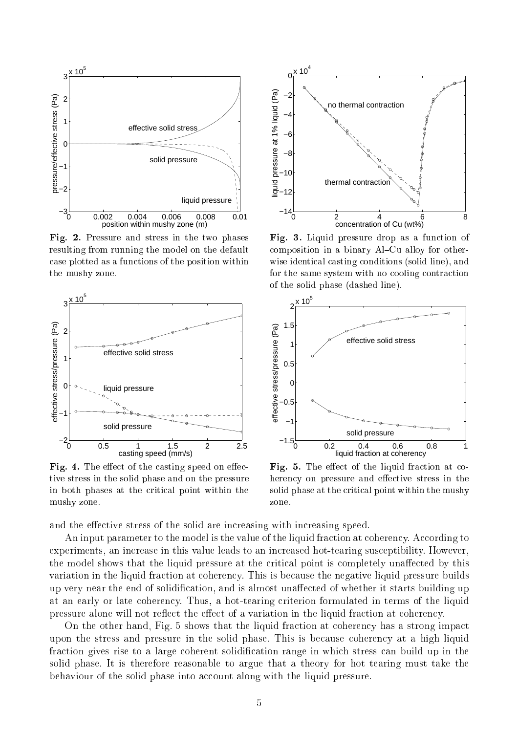

Fig. 2. Pressure and stress in the two phases resulting from running the model on the default ase plotted as a fun
tions of the position within the mushy zone.



Fig. 4. The effect of the casting speed on effective stress in the solid phase and on the pressure in both phases at the critical point within the mushy zone.



Fig. 3. Liquid pressure drop as a function of composition in a binary Al-Cu alloy for otherwise identical casting conditions (solid line), and for the same system with no cooling contraction of the solid phase (dashed line).



Fig. 5. The effect of the liquid fraction at coherency on pressure and effective stress in the solid phase at the critical point within the mushy zone.

and the effective stress of the solid are increasing with increasing speed.

An input parameter to the model is the value of the liquid fraction at coherency. According to experiments, an increase in this value leads to an increased hot-tearing susceptibility. However, the model shows that the liquid pressure at the critical point is completely unaffected by this variation in the liquid fraction at coherency. This is because the negative liquid pressure builds up very near the end of solidification, and is almost unaffected of whether it starts building up at an early or late coherency. Thus, a hot-tearing criterion formulated in terms of the liquid pressure alone will not reflect the effect of a variation in the liquid fraction at coherency.

On the other hand, Fig. 5 shows that the liquid fraction at coherency has a strong impact upon the stress and pressure in the solid phase. This is because coherency at a high liquid fraction gives rise to a large coherent solidification range in which stress can build up in the solid phase. It is therefore reasonable to argue that a theory for hot tearing must take the behaviour of the solid phase into account along with the liquid pressure.